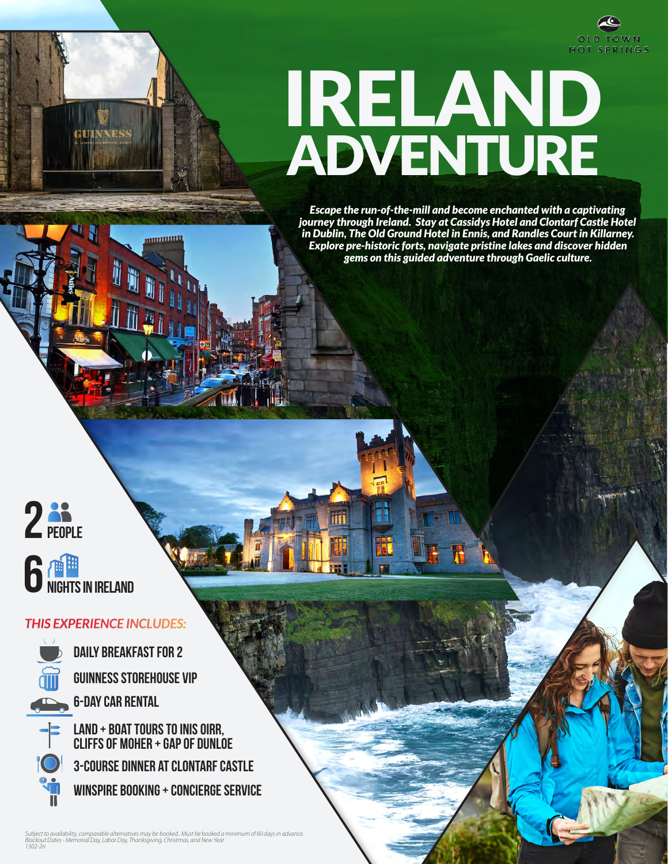

# IRELAND ADVENTURE

*Escape the run-of-the-mill and become enchanted with a captivating journey through Ireland. Stay at Cassidys Hotel and Clontarf Castle Hotel in Dublin, The Old Ground Hotel in Ennis, and Randles Court in Killarney. Explore pre-historic forts, navigate pristine lakes and discover hidden gems on this guided adventure through Gaelic culture.*



### *THIS EXPERIENCE INCLUDES:*

**INNESS** 

<u>munuut</u>



**Guinness Storehouse VIP 6-Day car Rental daily breakfast for 2**

**Land + Boat tours to Inis Oirr, Cliffs of Moher + Gap of Dunloe Winspire Booking + concierge service 3-course dinner at Clontarf Castle**

Subject to availability, comparable alternatives may be booked.. Must be booked a minimum of 60 days in advance.<br>Blackout Dates - Memorial Day, Labor Day, Thanksgiving, Christmas, and New Year.<br>1302-2n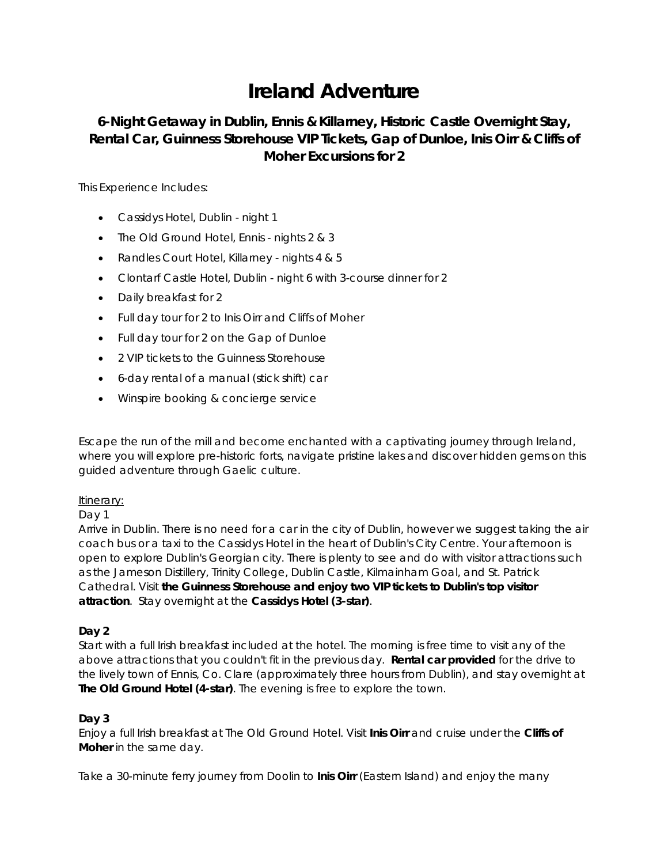## **Ireland Adventure**

**6-Night Getaway in Dublin, Ennis & Killarney, Historic Castle Overnight Stay, Rental Car, Guinness Storehouse VIP Tickets, Gap of Dunloe, Inis Oirr & Cliffs of Moher Excursions for 2**

This Experience Includes:

- Cassidys Hotel, Dublin night 1
- The Old Ground Hotel, Ennis nights 2 & 3
- Randles Court Hotel, Killarney nights 4 & 5
- Clontarf Castle Hotel, Dublin night 6 with 3-course dinner for 2
- Daily breakfast for 2
- Full day tour for 2 to Inis Oirr and Cliffs of Moher
- Full day tour for 2 on the Gap of Dunloe
- 2 VIP tickets to the Guinness Storehouse
- 6-day rental of a manual (stick shift) car
- Winspire booking & concierge service

Escape the run of the mill and become enchanted with a captivating journey through Ireland, where you will explore pre-historic forts, navigate pristine lakes and discover hidden gems on this guided adventure through Gaelic culture.

#### Itinerary:

#### Day 1

Arrive in Dublin. There is no need for a car in the city of Dublin, however we suggest taking the air coach bus or a taxi to the Cassidys Hotel in the heart of Dublin's City Centre. Your afternoon is open to explore Dublin's Georgian city. There is plenty to see and do with visitor attractions such as the Jameson Distillery, Trinity College, Dublin Castle, Kilmainham Goal, and St. Patrick Cathedral. Visit **the Guinness Storehouse and enjoy two VIP tickets to Dublin's top visitor attraction**. Stay overnight at the **Cassidys Hotel (3-star)**.

#### **Day 2**

Start with a full Irish breakfast included at the hotel. The morning is free time to visit any of the above attractions that you couldn't fit in the previous day. **Rental car provided** for the drive to the lively town of Ennis, Co. Clare (approximately three hours from Dublin), and stay overnight at **The Old Ground Hotel (4-star)**. The evening is free to explore the town.

#### **Day 3**

Enjoy a full Irish breakfast at The Old Ground Hotel. Visit **Inis Oirr** and cruise under the **Cliffs of Moher** in the same day.

Take a 30-minute ferry journey from Doolin to **Inis Oirr** (Eastern Island) and enjoy the many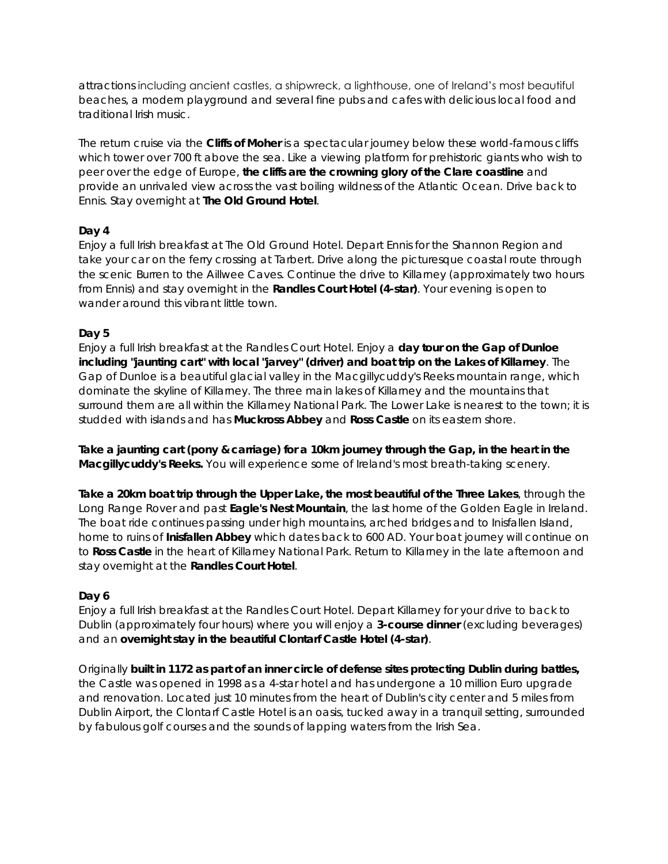attractions including ancient castles, a shipwreck, a lighthouse, one of Ireland's most beautiful beaches, a modern playground and several fine pubs and cafes with delicious local food and traditional Irish music.

The return cruise via the **Cliffs of Moher** is a spectacular journey below these world-famous cliffs which tower over 700 ft above the sea. Like a viewing platform for prehistoric giants who wish to peer over the edge of Europe, **the cliffs are the crowning glory of the Clare coastline** and provide an unrivaled view across the vast boiling wildness of the Atlantic Ocean. Drive back to Ennis. Stay overnight at **The Old Ground Hotel**.

#### **Day 4**

Enjoy a full Irish breakfast at The Old Ground Hotel. Depart Ennis for the Shannon Region and take your car on the ferry crossing at Tarbert. Drive along the picturesque coastal route through the scenic Burren to the Aillwee Caves. Continue the drive to Killarney (approximately two hours from Ennis) and stay overnight in the **Randles Court Hotel (4-star)**. Your evening is open to wander around this vibrant little town

#### **Day 5**

Enjoy a full Irish breakfast at the Randles Court Hotel. Enjoy a **day tour on the Gap of Dunloe including "jaunting cart" with local "jarvey" (driver) and boat trip on the Lakes of Killarney**. The Gap of Dunloe is a beautiful glacial valley in the Macgillycuddy's Reeks mountain range, which dominate the skyline of Killarney. The three main lakes of Killarney and the mountains that surround them are all within the Killarney National Park. The Lower Lake is nearest to the town; it is studded with islands and has **Muckross Abbey** and **Ross Castle** on its eastern shore.

**Take a jaunting cart (pony & carriage) for a 10km journey through the Gap, in the heart in the Macgillycuddy's Reeks.** You will experience some of Ireland's most breath-taking scenery.

**Take a 20km boat trip through the Upper Lake, the most beautiful of the Three Lakes**, through the Long Range Rover and past **Eagle's Nest Mountain**, the last home of the Golden Eagle in Ireland. The boat ride continues passing under high mountains, arched bridges and to Inisfallen Island, home to ruins of **Inisfallen Abbey** which dates back to 600 AD. Your boat journey will continue on to **Ross Castle** in the heart of Killarney National Park. Return to Killarney in the late afternoon and stay overnight at the **Randles Court Hotel**.

#### **Day 6**

Enjoy a full Irish breakfast at the Randles Court Hotel. Depart Killarney for your drive to back to Dublin (approximately four hours) where you will enjoy a **3-course dinner** (excluding beverages) and an **overnight stay in the beautiful Clontarf Castle Hotel (4-star)**.

Originally **built in 1172 as part of an inner circle of defense sites protecting Dublin during battles,** the Castle was opened in 1998 as a 4-star hotel and has undergone a 10 million Euro upgrade and renovation. Located just 10 minutes from the heart of Dublin's city center and 5 miles from Dublin Airport, the Clontarf Castle Hotel is an oasis, tucked away in a tranquil setting, surrounded by fabulous golf courses and the sounds of lapping waters from the Irish Sea.